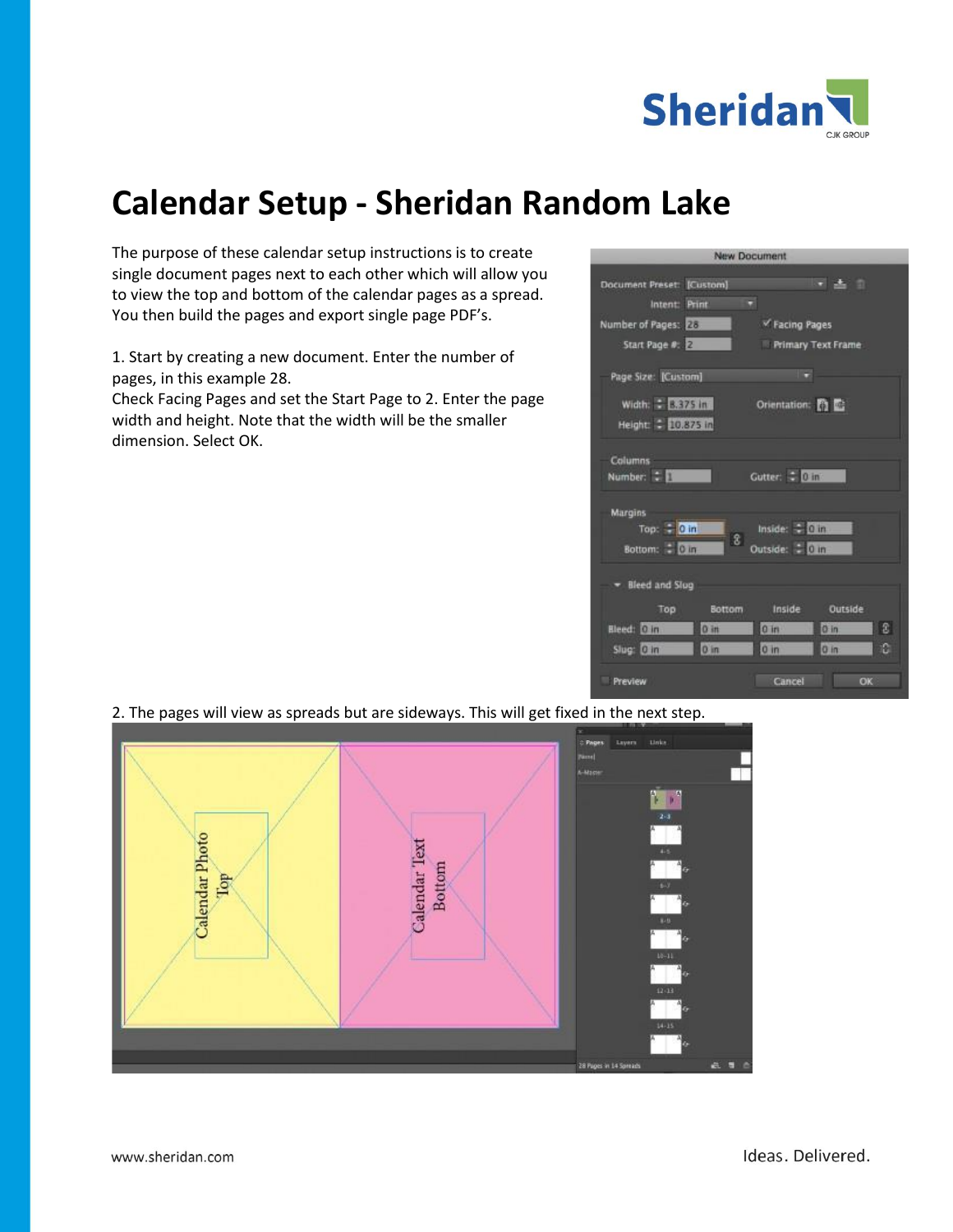

## **Calendar Setup - Sheridan Random Lake**

The purpose of these calendar setup instructions is to create single document pages next to each other which will allow you to view the top and bottom of the calendar pages as a spread. You then build the pages and export single page PDF's.

1. Start by creating a new document. Enter the number of pages, in this example 28.

Check Facing Pages and set the Start Page to 2. Enter the page width and height. Note that the width will be the smaller dimension. Select OK.



2. The pages will view as spreads but are sideways. This will get fixed in the next step.

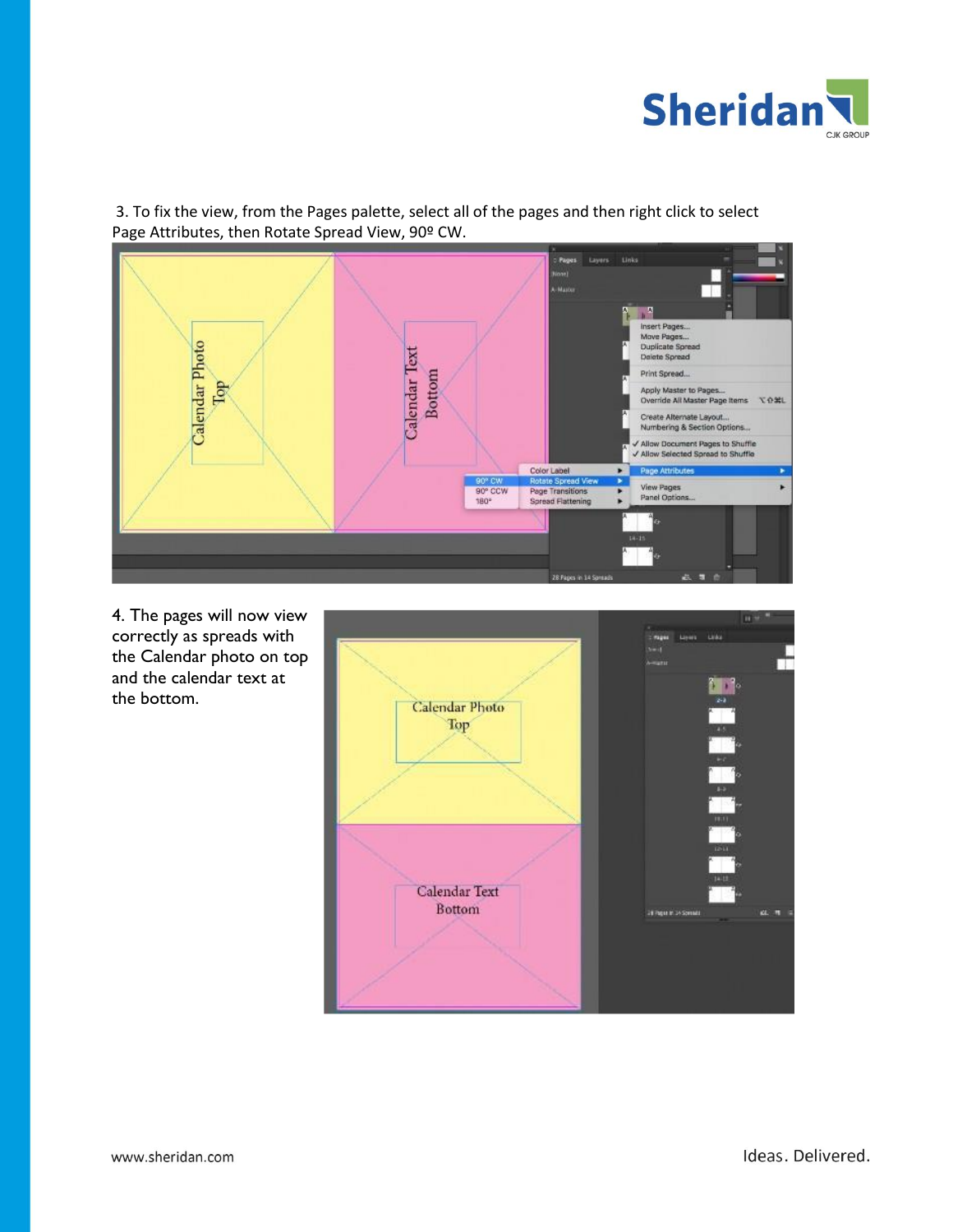

3. To fix the view, from the Pages palette, select all of the pages and then right click to select Page Attributes, then Rotate Spread View, 90º CW.



4. The pages will now view correctly as spreads with the Calendar photo on top and the calendar text at the bottom.



Ideas. Delivered.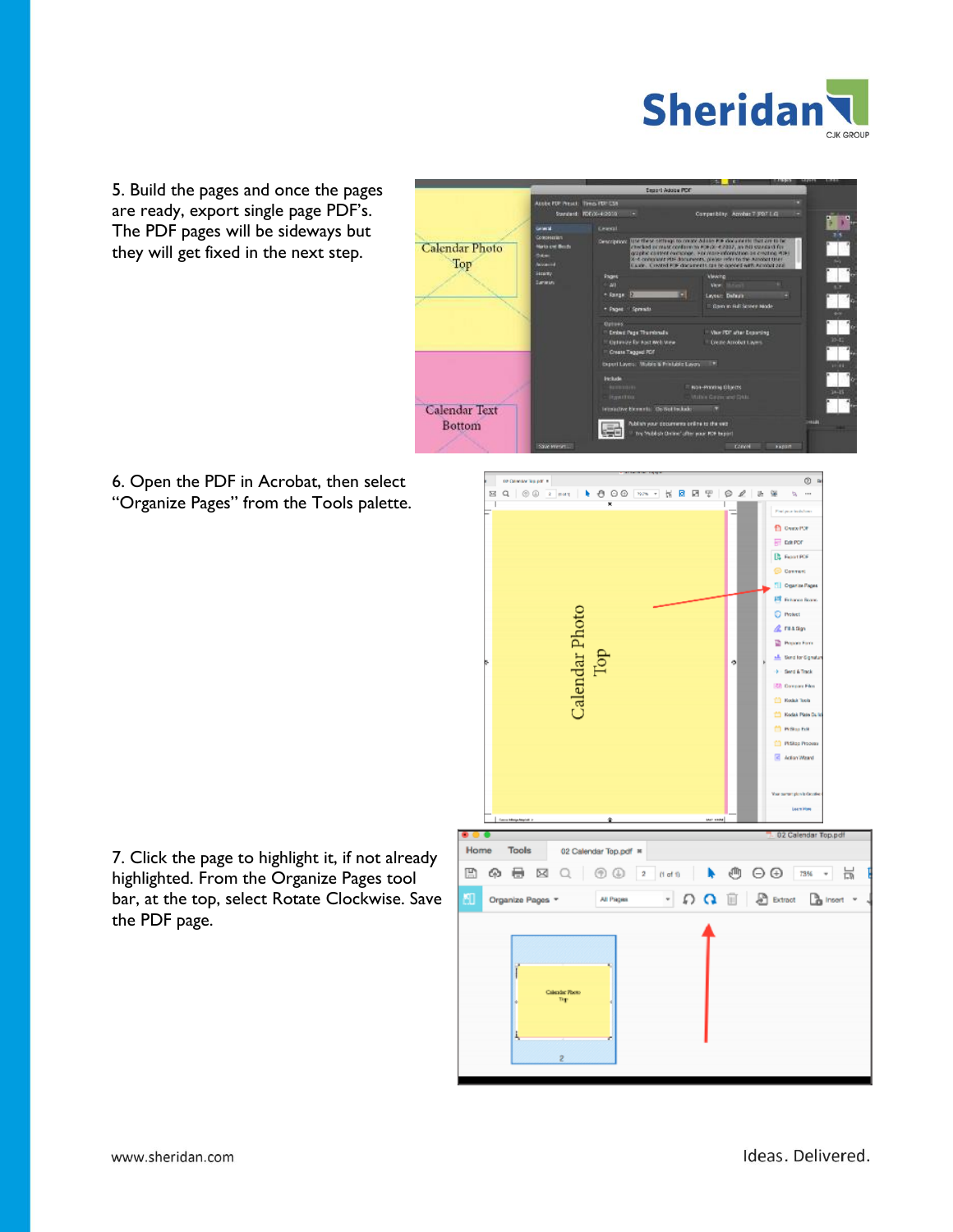

5. Build the pages and once the pages are ready, export single page PDF's. The PDF pages will be sideways but they will get fixed in the next step.



6. Open the PDF in Acrobat, then select "Organize Pages" from the Tools palette.



7. Click the page to highlight it, if not already highlighted. From the Organize Pages tool bar, at the top, select Rotate Clockwise. Save the PDF page.